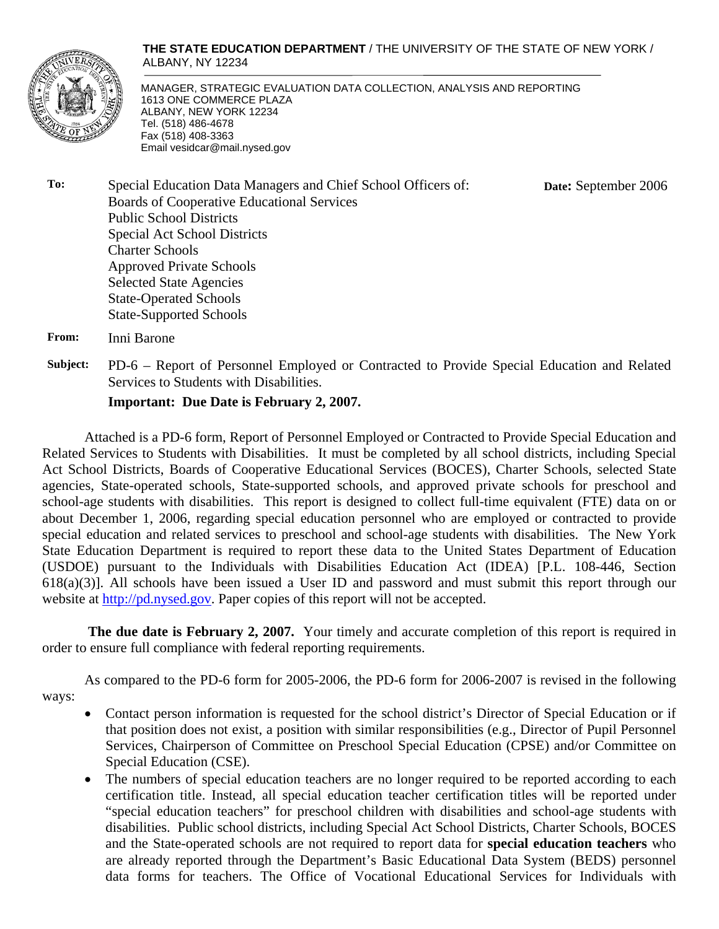

**THE STATE EDUCATION DEPARTMENT** / THE UNIVERSITY OF THE STATE OF NEW YORK / ALBANY, NY 12234

**Date:** September 2006

MANAGER, STRATEGIC EVALUATION DATA COLLECTION, ANALYSIS AND REPORTING 1613 ONE COMMERCE PLAZA ALBANY, NEW YORK 12234 Tel. (518) 486-4678 Fax (518) 408-3363 Email vesidcar@mail.nysed.gov

**To:** Special Education Data Managers and Chief School Officers of: Boards of Cooperative Educational Services Public School Districts Special Act School Districts Charter Schools Approved Private Schools Selected State Agencies State-Operated Schools State-Supported Schools

**From:** Inni Barone

**Subject:** PD-6 – Report of Personnel Employed or Contracted to Provide Special Education and Related Services to Students with Disabilities.

**Important: Due Date is February 2, 2007.** 

Attached is a PD-6 form, Report of Personnel Employed or Contracted to Provide Special Education and Related Services to Students with Disabilities. It must be completed by all school districts, including Special Act School Districts, Boards of Cooperative Educational Services (BOCES), Charter Schools, selected State agencies, State-operated schools, State-supported schools, and approved private schools for preschool and school-age students with disabilities. This report is designed to collect full-time equivalent (FTE) data on or about December 1, 2006, regarding special education personnel who are employed or contracted to provide special education and related services to preschool and school-age students with disabilities. The New York State Education Department is required to report these data to the United States Department of Education (USDOE) pursuant to the Individuals with Disabilities Education Act (IDEA) [P.L. 108-446, Section 618(a)(3)]. All schools have been issued a User ID and password and must submit this report through our website at http://pd.nysed.gov. Paper copies of this report will not be accepted.

**The due date is February 2, 2007.** Your timely and accurate completion of this report is required in order to ensure full compliance with federal reporting requirements.

 As compared to the PD-6 form for 2005-2006, the PD-6 form for 2006-2007 is revised in the following ways:

- Contact person information is requested for the school district's Director of Special Education or if that position does not exist, a position with similar responsibilities (e.g., Director of Pupil Personnel Services, Chairperson of Committee on Preschool Special Education (CPSE) and/or Committee on Special Education (CSE).
	- The numbers of special education teachers are no longer required to be reported according to each certification title. Instead, all special education teacher certification titles will be reported under "special education teachers" for preschool children with disabilities and school-age students with disabilities. Public school districts, including Special Act School Districts, Charter Schools, BOCES and the State-operated schools are not required to report data for **special education teachers** who are already reported through the Department's Basic Educational Data System (BEDS) personnel data forms for teachers. The Office of Vocational Educational Services for Individuals with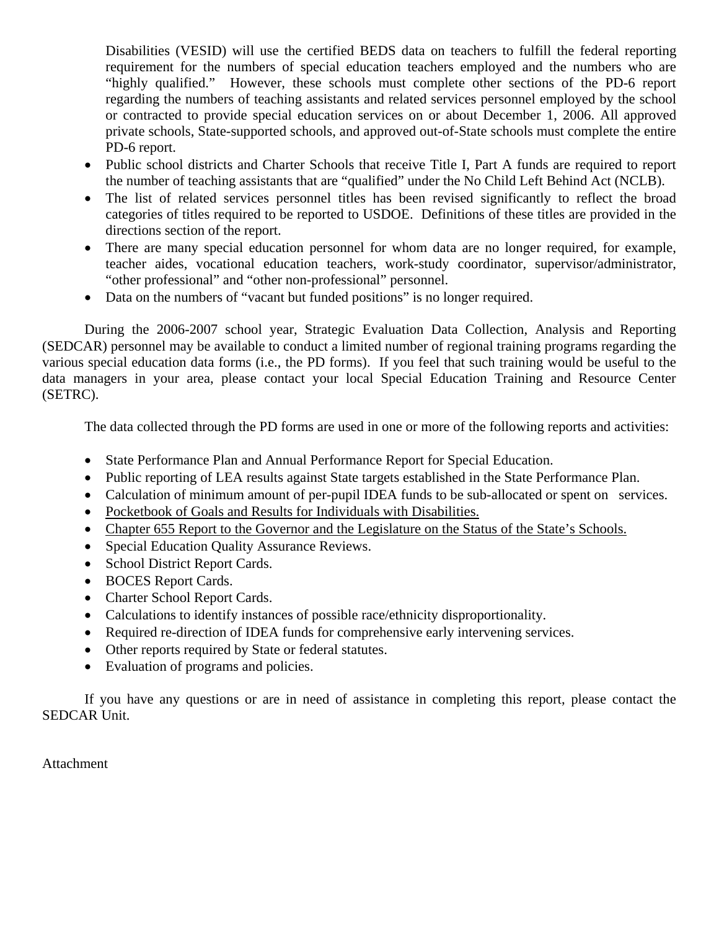Disabilities (VESID) will use the certified BEDS data on teachers to fulfill the federal reporting requirement for the numbers of special education teachers employed and the numbers who are "highly qualified." However, these schools must complete other sections of the PD-6 report regarding the numbers of teaching assistants and related services personnel employed by the school or contracted to provide special education services on or about December 1, 2006. All approved private schools, State-supported schools, and approved out-of-State schools must complete the entire PD-6 report.

- Public school districts and Charter Schools that receive Title I, Part A funds are required to report the number of teaching assistants that are "qualified" under the No Child Left Behind Act (NCLB).
- The list of related services personnel titles has been revised significantly to reflect the broad categories of titles required to be reported to USDOE. Definitions of these titles are provided in the directions section of the report.
- There are many special education personnel for whom data are no longer required, for example, teacher aides, vocational education teachers, work-study coordinator, supervisor/administrator, "other professional" and "other non-professional" personnel.
- Data on the numbers of "vacant but funded positions" is no longer required.

During the 2006-2007 school year, Strategic Evaluation Data Collection, Analysis and Reporting (SEDCAR) personnel may be available to conduct a limited number of regional training programs regarding the various special education data forms (i.e., the PD forms). If you feel that such training would be useful to the data managers in your area, please contact your local Special Education Training and Resource Center (SETRC).

The data collected through the PD forms are used in one or more of the following reports and activities:

- State Performance Plan and Annual Performance Report for Special Education.
- Public reporting of LEA results against State targets established in the State Performance Plan.
- Calculation of minimum amount of per-pupil IDEA funds to be sub-allocated or spent on services.
- Pocketbook of Goals and Results for Individuals with Disabilities.
- Chapter 655 Report to the Governor and the Legislature on the Status of the State's Schools.
- Special Education Quality Assurance Reviews.
- School District Report Cards.
- BOCES Report Cards.
- Charter School Report Cards.
- Calculations to identify instances of possible race/ethnicity disproportionality.
- Required re-direction of IDEA funds for comprehensive early intervening services.
- Other reports required by State or federal statutes.
- Evaluation of programs and policies.

If you have any questions or are in need of assistance in completing this report, please contact the SEDCAR Unit.

Attachment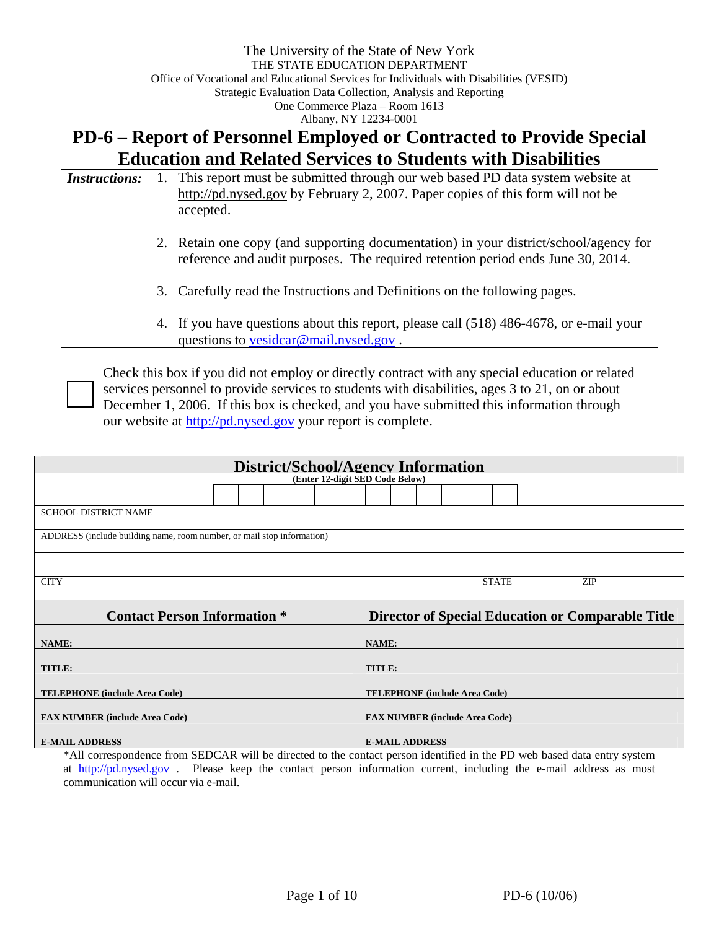# **PD-6 – Report of Personnel Employed or Contracted to Provide Special Education and Related Services to Students with Disabilities**

| <i>Instructions:</i> | 1. This report must be submitted through our web based PD data system website at<br>http://pd.nysed.gov by February 2, 2007. Paper copies of this form will not be<br>accepted. |
|----------------------|---------------------------------------------------------------------------------------------------------------------------------------------------------------------------------|
|                      | 2. Retain one copy (and supporting documentation) in your district/school/agency for<br>reference and audit purposes. The required retention period ends June 30, 2014.         |
|                      | 3. Carefully read the Instructions and Definitions on the following pages.                                                                                                      |
|                      | 4. If you have questions about this report, please call (518) 486-4678, or e-mail your<br>questions to <u>vesidcar@mail.nysed.gov</u> .                                         |

Check this box if you did not employ or directly contract with any special education or related services personnel to provide services to students with disabilities, ages 3 to 21, on or about December 1, 2006. If this box is checked, and you have submitted this information through our website at http://pd.nysed.gov your report is complete.

| <b>District/School/Agency Information</b>                                                |                                       |  |  |  |  |  |
|------------------------------------------------------------------------------------------|---------------------------------------|--|--|--|--|--|
| (Enter 12-digit SED Code Below)                                                          |                                       |  |  |  |  |  |
|                                                                                          |                                       |  |  |  |  |  |
| SCHOOL DISTRICT NAME                                                                     |                                       |  |  |  |  |  |
| ADDRESS (include building name, room number, or mail stop information)                   |                                       |  |  |  |  |  |
|                                                                                          |                                       |  |  |  |  |  |
| <b>CITY</b>                                                                              | <b>STATE</b><br><b>ZIP</b>            |  |  |  |  |  |
| <b>Contact Person Information *</b><br>Director of Special Education or Comparable Title |                                       |  |  |  |  |  |
| NAME:                                                                                    | <b>NAME:</b>                          |  |  |  |  |  |
| TITLE:                                                                                   | <b>TITLE:</b>                         |  |  |  |  |  |
| <b>TELEPHONE</b> (include Area Code)                                                     | <b>TELEPHONE</b> (include Area Code)  |  |  |  |  |  |
| <b>FAX NUMBER (include Area Code)</b>                                                    | <b>FAX NUMBER (include Area Code)</b> |  |  |  |  |  |
| <b>E-MAIL ADDRESS</b>                                                                    | <b>E-MAIL ADDRESS</b>                 |  |  |  |  |  |

\*All correspondence from SEDCAR will be directed to the contact person identified in the PD web based data entry system at http://pd.nysed.gov . Please keep the contact person information current, including the e-mail address as most communication will occur via e-mail.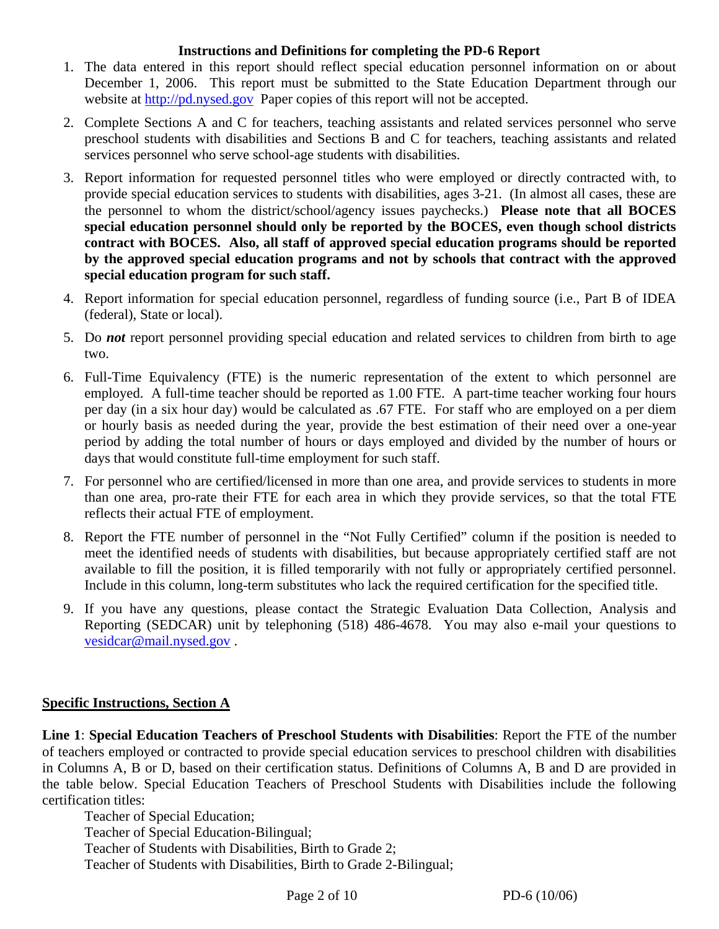#### **Instructions and Definitions for completing the PD-6 Report**

- 1. The data entered in this report should reflect special education personnel information on or about December 1, 2006. This report must be submitted to the State Education Department through our website at http://pd.nysed.gov Paper copies of this report will not be accepted.
- 2. Complete Sections A and C for teachers, teaching assistants and related services personnel who serve preschool students with disabilities and Sections B and C for teachers, teaching assistants and related services personnel who serve school-age students with disabilities.
- 3. Report information for requested personnel titles who were employed or directly contracted with, to provide special education services to students with disabilities, ages 3-21. (In almost all cases, these are the personnel to whom the district/school/agency issues paychecks.) **Please note that all BOCES special education personnel should only be reported by the BOCES, even though school districts contract with BOCES. Also, all staff of approved special education programs should be reported by the approved special education programs and not by schools that contract with the approved special education program for such staff.**
- 4. Report information for special education personnel, regardless of funding source (i.e., Part B of IDEA (federal), State or local).
- 5. Do *not* report personnel providing special education and related services to children from birth to age two.
- 6. Full-Time Equivalency (FTE) is the numeric representation of the extent to which personnel are employed. A full-time teacher should be reported as 1.00 FTE. A part-time teacher working four hours per day (in a six hour day) would be calculated as .67 FTE. For staff who are employed on a per diem or hourly basis as needed during the year, provide the best estimation of their need over a one-year period by adding the total number of hours or days employed and divided by the number of hours or days that would constitute full-time employment for such staff.
- 7. For personnel who are certified/licensed in more than one area, and provide services to students in more than one area, pro-rate their FTE for each area in which they provide services, so that the total FTE reflects their actual FTE of employment.
- 8. Report the FTE number of personnel in the "Not Fully Certified" column if the position is needed to meet the identified needs of students with disabilities, but because appropriately certified staff are not available to fill the position, it is filled temporarily with not fully or appropriately certified personnel. Include in this column, long-term substitutes who lack the required certification for the specified title.
- 9. If you have any questions, please contact the Strategic Evaluation Data Collection, Analysis and Reporting (SEDCAR) unit by telephoning (518) 486-4678. You may also e-mail your questions to vesidcar@mail.nysed.gov .

#### **Specific Instructions, Section A**

**Line 1**: **Special Education Teachers of Preschool Students with Disabilities**: Report the FTE of the number of teachers employed or contracted to provide special education services to preschool children with disabilities in Columns A, B or D, based on their certification status. Definitions of Columns A, B and D are provided in the table below. Special Education Teachers of Preschool Students with Disabilities include the following certification titles:

Teacher of Special Education; Teacher of Special Education-Bilingual; Teacher of Students with Disabilities, Birth to Grade 2; Teacher of Students with Disabilities, Birth to Grade 2-Bilingual;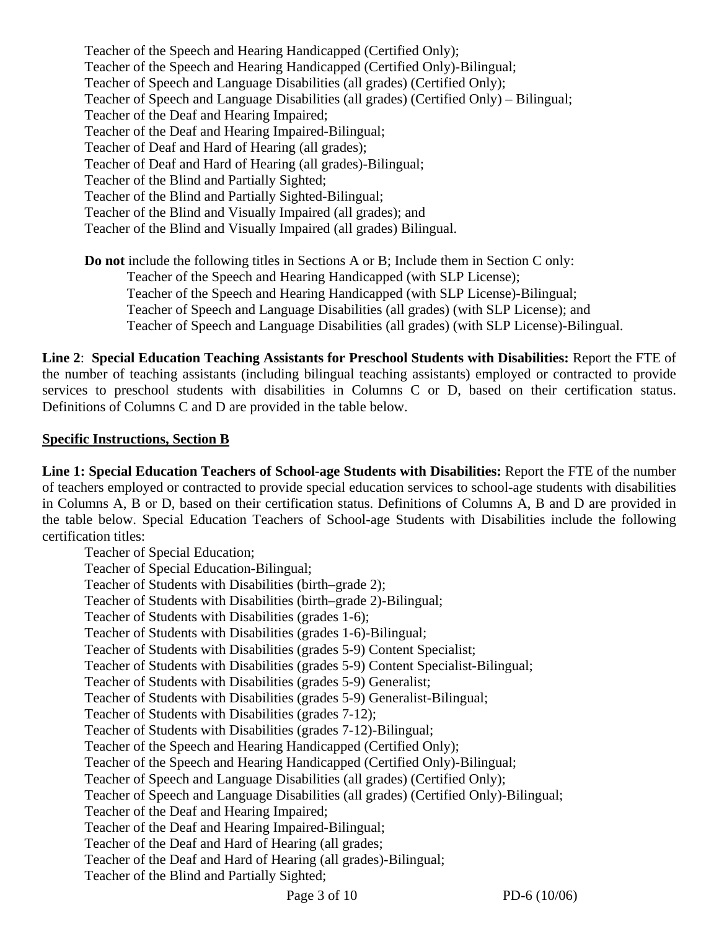Teacher of the Speech and Hearing Handicapped (Certified Only); Teacher of the Speech and Hearing Handicapped (Certified Only)-Bilingual; Teacher of Speech and Language Disabilities (all grades) (Certified Only); Teacher of Speech and Language Disabilities (all grades) (Certified Only) – Bilingual; Teacher of the Deaf and Hearing Impaired; Teacher of the Deaf and Hearing Impaired-Bilingual; Teacher of Deaf and Hard of Hearing (all grades); Teacher of Deaf and Hard of Hearing (all grades)-Bilingual; Teacher of the Blind and Partially Sighted; Teacher of the Blind and Partially Sighted-Bilingual; Teacher of the Blind and Visually Impaired (all grades); and Teacher of the Blind and Visually Impaired (all grades) Bilingual.

**Do not** include the following titles in Sections A or B; Include them in Section C only: Teacher of the Speech and Hearing Handicapped (with SLP License); Teacher of the Speech and Hearing Handicapped (with SLP License)-Bilingual; Teacher of Speech and Language Disabilities (all grades) (with SLP License); and Teacher of Speech and Language Disabilities (all grades) (with SLP License)-Bilingual.

**Line 2**: **Special Education Teaching Assistants for Preschool Students with Disabilities:** Report the FTE of the number of teaching assistants (including bilingual teaching assistants) employed or contracted to provide services to preschool students with disabilities in Columns C or D, based on their certification status. Definitions of Columns C and D are provided in the table below.

#### **Specific Instructions, Section B**

**Line 1: Special Education Teachers of School-age Students with Disabilities:** Report the FTE of the number of teachers employed or contracted to provide special education services to school-age students with disabilities in Columns A, B or D, based on their certification status. Definitions of Columns A, B and D are provided in the table below. Special Education Teachers of School-age Students with Disabilities include the following certification titles:

Teacher of Special Education; Teacher of Special Education-Bilingual; Teacher of Students with Disabilities (birth–grade 2); Teacher of Students with Disabilities (birth–grade 2)-Bilingual; Teacher of Students with Disabilities (grades 1-6); Teacher of Students with Disabilities (grades 1-6)-Bilingual; Teacher of Students with Disabilities (grades 5-9) Content Specialist; Teacher of Students with Disabilities (grades 5-9) Content Specialist-Bilingual; Teacher of Students with Disabilities (grades 5-9) Generalist; Teacher of Students with Disabilities (grades 5-9) Generalist-Bilingual; Teacher of Students with Disabilities (grades 7-12); Teacher of Students with Disabilities (grades 7-12)-Bilingual; Teacher of the Speech and Hearing Handicapped (Certified Only); Teacher of the Speech and Hearing Handicapped (Certified Only)-Bilingual; Teacher of Speech and Language Disabilities (all grades) (Certified Only); Teacher of Speech and Language Disabilities (all grades) (Certified Only)-Bilingual; Teacher of the Deaf and Hearing Impaired; Teacher of the Deaf and Hearing Impaired-Bilingual; Teacher of the Deaf and Hard of Hearing (all grades; Teacher of the Deaf and Hard of Hearing (all grades)-Bilingual; Teacher of the Blind and Partially Sighted;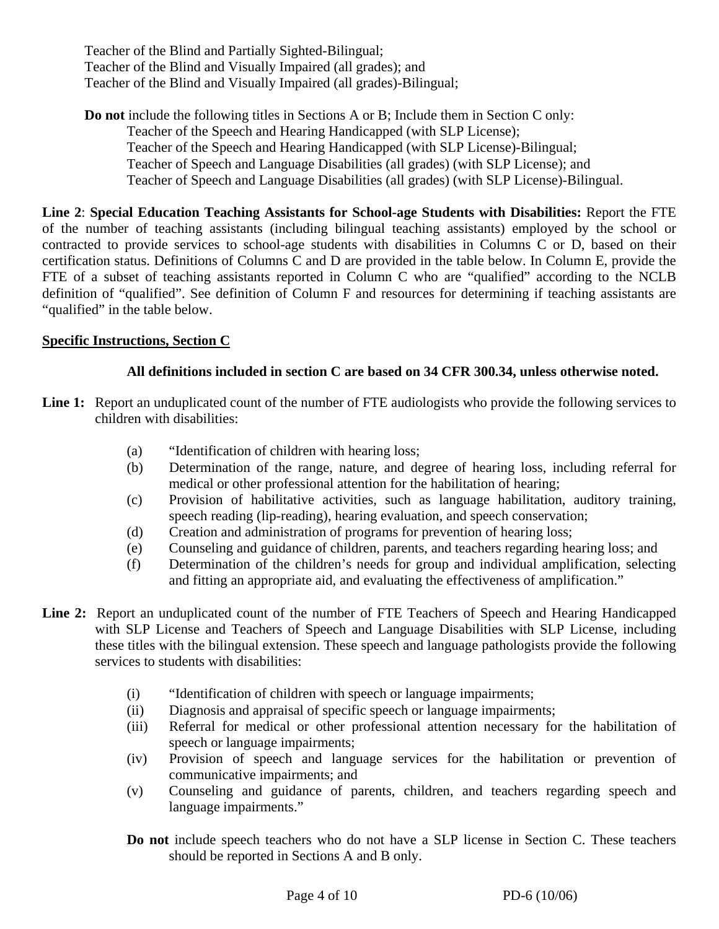Teacher of the Blind and Partially Sighted-Bilingual; Teacher of the Blind and Visually Impaired (all grades); and Teacher of the Blind and Visually Impaired (all grades)-Bilingual;

**Do not** include the following titles in Sections A or B; Include them in Section C only: Teacher of the Speech and Hearing Handicapped (with SLP License); Teacher of the Speech and Hearing Handicapped (with SLP License)-Bilingual; Teacher of Speech and Language Disabilities (all grades) (with SLP License); and Teacher of Speech and Language Disabilities (all grades) (with SLP License)-Bilingual.

**Line 2**: **Special Education Teaching Assistants for School-age Students with Disabilities:** Report the FTE of the number of teaching assistants (including bilingual teaching assistants) employed by the school or contracted to provide services to school-age students with disabilities in Columns C or D, based on their certification status. Definitions of Columns C and D are provided in the table below. In Column E, provide the FTE of a subset of teaching assistants reported in Column C who are "qualified" according to the NCLB definition of "qualified". See definition of Column F and resources for determining if teaching assistants are "qualified" in the table below.

## **Specific Instructions, Section C**

#### **All definitions included in section C are based on 34 CFR 300.34, unless otherwise noted.**

- Line 1: Report an unduplicated count of the number of FTE audiologists who provide the following services to children with disabilities:
	- (a) "Identification of children with hearing loss;
	- (b) Determination of the range, nature, and degree of hearing loss, including referral for medical or other professional attention for the habilitation of hearing;
	- (c) Provision of habilitative activities, such as language habilitation, auditory training, speech reading (lip-reading), hearing evaluation, and speech conservation;
	- (d) Creation and administration of programs for prevention of hearing loss;
	- (e) Counseling and guidance of children, parents, and teachers regarding hearing loss; and
	- (f) Determination of the children's needs for group and individual amplification, selecting and fitting an appropriate aid, and evaluating the effectiveness of amplification."
- **Line 2:** Report an unduplicated count of the number of FTE Teachers of Speech and Hearing Handicapped with SLP License and Teachers of Speech and Language Disabilities with SLP License, including these titles with the bilingual extension. These speech and language pathologists provide the following services to students with disabilities:
	- (i) "Identification of children with speech or language impairments;
	- (ii) Diagnosis and appraisal of specific speech or language impairments;
	- (iii) Referral for medical or other professional attention necessary for the habilitation of speech or language impairments;
	- (iv) Provision of speech and language services for the habilitation or prevention of communicative impairments; and
	- (v) Counseling and guidance of parents, children, and teachers regarding speech and language impairments."
	- **Do not** include speech teachers who do not have a SLP license in Section C. These teachers should be reported in Sections A and B only.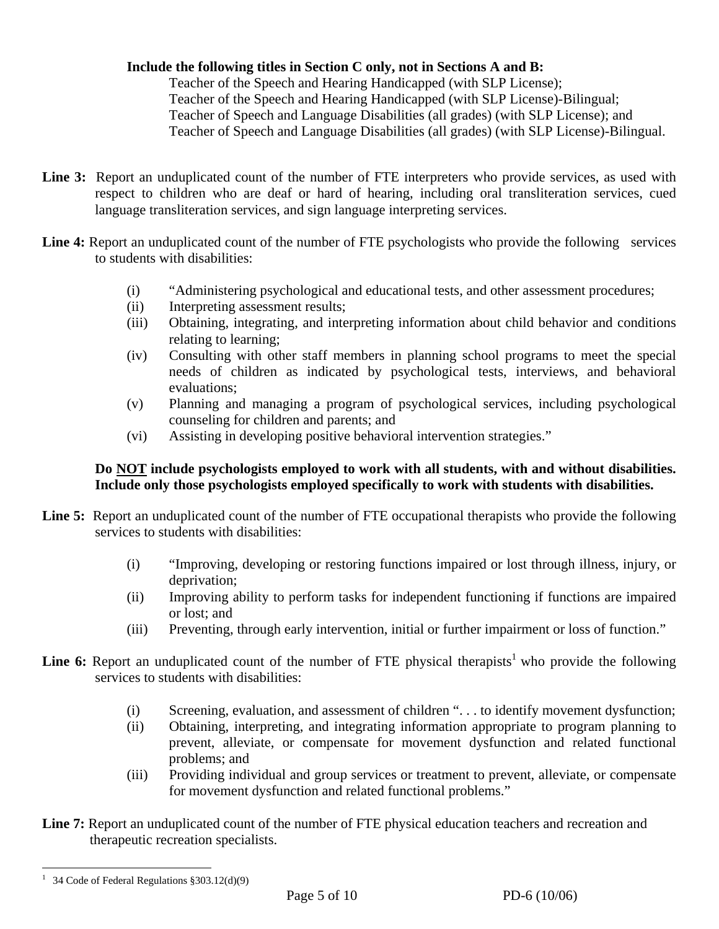## **Include the following titles in Section C only, not in Sections A and B:**

Teacher of the Speech and Hearing Handicapped (with SLP License); Teacher of the Speech and Hearing Handicapped (with SLP License)-Bilingual; Teacher of Speech and Language Disabilities (all grades) (with SLP License); and Teacher of Speech and Language Disabilities (all grades) (with SLP License)-Bilingual.

- **Line 3:** Report an unduplicated count of the number of FTE interpreters who provide services, as used with respect to children who are deaf or hard of hearing, including oral transliteration services, cued language transliteration services, and sign language interpreting services.
- Line 4: Report an unduplicated count of the number of FTE psychologists who provide the following services to students with disabilities:
	- (i) "Administering psychological and educational tests, and other assessment procedures;
	- (ii) Interpreting assessment results;
	- (iii) Obtaining, integrating, and interpreting information about child behavior and conditions relating to learning;
	- (iv) Consulting with other staff members in planning school programs to meet the special needs of children as indicated by psychological tests, interviews, and behavioral evaluations;
	- (v) Planning and managing a program of psychological services, including psychological counseling for children and parents; and
	- (vi) Assisting in developing positive behavioral intervention strategies."

## **Do NOT include psychologists employed to work with all students, with and without disabilities. Include only those psychologists employed specifically to work with students with disabilities.**

- Line 5: Report an unduplicated count of the number of FTE occupational therapists who provide the following services to students with disabilities:
	- (i) "Improving, developing or restoring functions impaired or lost through illness, injury, or deprivation;
	- (ii) Improving ability to perform tasks for independent functioning if functions are impaired or lost; and
	- (iii) Preventing, through early intervention, initial or further impairment or loss of function."
- **Line 6:** Report an unduplicated count of the number of FTE physical therapists<sup>1</sup> who provide the following services to students with disabilities:
	- (i) Screening, evaluation, and assessment of children ". . . to identify movement dysfunction;
	- (ii) Obtaining, interpreting, and integrating information appropriate to program planning to prevent, alleviate, or compensate for movement dysfunction and related functional problems; and
	- (iii) Providing individual and group services or treatment to prevent, alleviate, or compensate for movement dysfunction and related functional problems."
- Line 7: Report an unduplicated count of the number of FTE physical education teachers and recreation and therapeutic recreation specialists.

 $\overline{a}$ <sup>1</sup> 34 Code of Federal Regulations  $$303.12(d)(9)$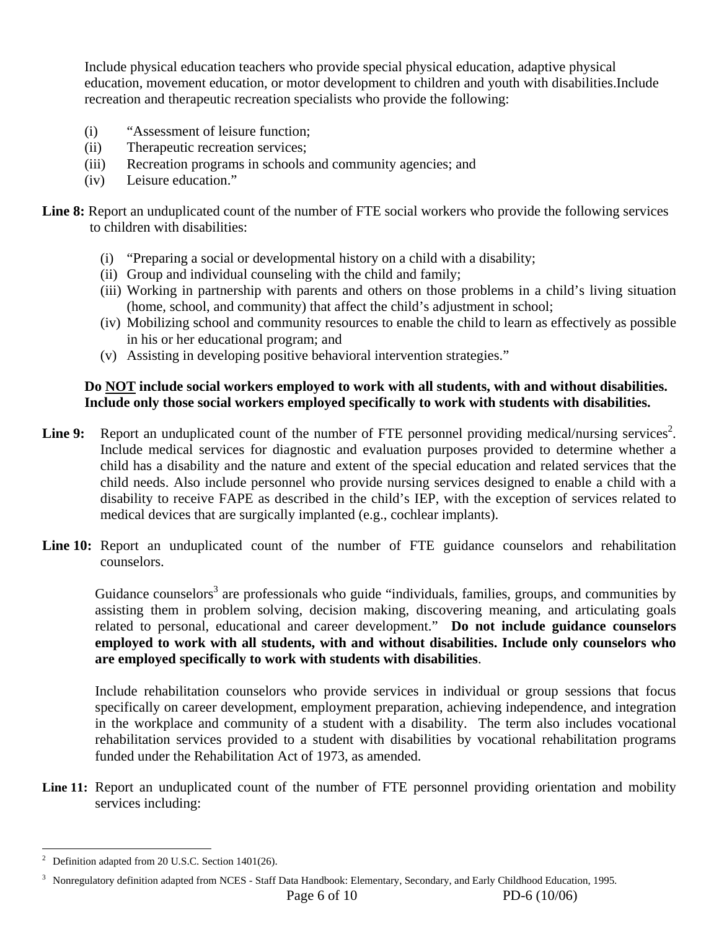Include physical education teachers who provide special physical education, adaptive physical education, movement education, or motor development to children and youth with disabilities.Include recreation and therapeutic recreation specialists who provide the following:

- (i) "Assessment of leisure function;
- (ii) Therapeutic recreation services;
- (iii) Recreation programs in schools and community agencies; and
- (iv) Leisure education."

**Line 8:** Report an unduplicated count of the number of FTE social workers who provide the following services to children with disabilities:

- (i) "Preparing a social or developmental history on a child with a disability;
- (ii) Group and individual counseling with the child and family;
- (iii) Working in partnership with parents and others on those problems in a child's living situation (home, school, and community) that affect the child's adjustment in school;
- (iv) Mobilizing school and community resources to enable the child to learn as effectively as possible in his or her educational program; and
- (v) Assisting in developing positive behavioral intervention strategies."

#### **Do NOT include social workers employed to work with all students, with and without disabilities. Include only those social workers employed specifically to work with students with disabilities.**

- Line 9: Report an unduplicated count of the number of FTE personnel providing medical/nursing services<sup>2</sup>. Include medical services for diagnostic and evaluation purposes provided to determine whether a child has a disability and the nature and extent of the special education and related services that the child needs. Also include personnel who provide nursing services designed to enable a child with a disability to receive FAPE as described in the child's IEP, with the exception of services related to medical devices that are surgically implanted (e.g., cochlear implants).
- Line 10: Report an unduplicated count of the number of FTE guidance counselors and rehabilitation counselors.

Guidance counselors<sup>3</sup> are professionals who guide "individuals, families, groups, and communities by assisting them in problem solving, decision making, discovering meaning, and articulating goals related to personal, educational and career development." **Do not include guidance counselors employed to work with all students, with and without disabilities. Include only counselors who are employed specifically to work with students with disabilities**.

 Include rehabilitation counselors who provide services in individual or group sessions that focus specifically on career development, employment preparation, achieving independence, and integration in the workplace and community of a student with a disability. The term also includes vocational rehabilitation services provided to a student with disabilities by vocational rehabilitation programs funded under the Rehabilitation Act of 1973, as amended.

Line 11: Report an unduplicated count of the number of FTE personnel providing orientation and mobility services including:

 $\overline{a}$ 2 Definition adapted from 20 U.S.C. Section 1401(26).

<sup>&</sup>lt;sup>3</sup> Nonregulatory definition adapted from NCES - Staff Data Handbook: Elementary, Secondary, and Early Childhood Education, 1995.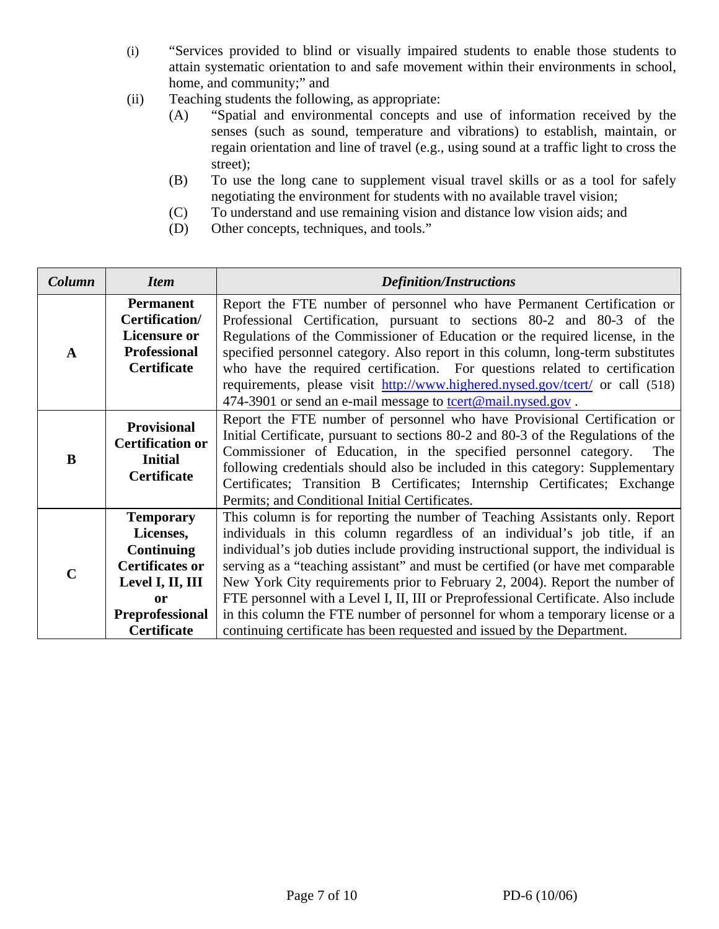- (i) "Services provided to blind or visually impaired students to enable those students to attain systematic orientation to and safe movement within their environments in school, home, and community;" and
- (ii) Teaching students the following, as appropriate:
	- (A) "Spatial and environmental concepts and use of information received by the senses (such as sound, temperature and vibrations) to establish, maintain, or regain orientation and line of travel (e.g., using sound at a traffic light to cross the street);
	- (B) To use the long cane to supplement visual travel skills or as a tool for safely negotiating the environment for students with no available travel vision;
	- (C) To understand and use remaining vision and distance low vision aids; and
	- (D) Other concepts, techniques, and tools."

| Column | <b>Item</b>                                                                                                                                                                                                                                                                                                                                                                                                                                                                                                                                | <b>Definition/Instructions</b>                                                                                                                                                                                                                                                                                                                                                                                                                                                                                                                                                                                                                                    |  |  |  |
|--------|--------------------------------------------------------------------------------------------------------------------------------------------------------------------------------------------------------------------------------------------------------------------------------------------------------------------------------------------------------------------------------------------------------------------------------------------------------------------------------------------------------------------------------------------|-------------------------------------------------------------------------------------------------------------------------------------------------------------------------------------------------------------------------------------------------------------------------------------------------------------------------------------------------------------------------------------------------------------------------------------------------------------------------------------------------------------------------------------------------------------------------------------------------------------------------------------------------------------------|--|--|--|
| A      | <b>Permanent</b><br>Certification/<br><b>Licensure or</b><br><b>Professional</b><br><b>Certificate</b>                                                                                                                                                                                                                                                                                                                                                                                                                                     | Report the FTE number of personnel who have Permanent Certification or<br>Professional Certification, pursuant to sections 80-2 and 80-3 of the<br>Regulations of the Commissioner of Education or the required license, in the<br>specified personnel category. Also report in this column, long-term substitutes<br>who have the required certification. For questions related to certification<br>requirements, please visit http://www.highered.nysed.gov/tcert/ or call (518)<br>474-3901 or send an e-mail message to tcert@mail.nysed.gov.                                                                                                                 |  |  |  |
| B      | Report the FTE number of personnel who have Provisional Certification or<br><b>Provisional</b><br>Initial Certificate, pursuant to sections 80-2 and 80-3 of the Regulations of the<br><b>Certification or</b><br>Commissioner of Education, in the specified personnel category.<br><b>Initial</b><br>following credentials should also be included in this category: Supplementary<br><b>Certificate</b><br>Certificates; Transition B Certificates; Internship Certificates; Exchange<br>Permits; and Conditional Initial Certificates. |                                                                                                                                                                                                                                                                                                                                                                                                                                                                                                                                                                                                                                                                   |  |  |  |
|        | <b>Temporary</b><br>Licenses,<br><b>Continuing</b><br><b>Certificates or</b><br>Level I, II, III<br>or<br><b>Preprofessional</b><br><b>Certificate</b>                                                                                                                                                                                                                                                                                                                                                                                     | This column is for reporting the number of Teaching Assistants only. Report<br>individuals in this column regardless of an individual's job title, if an<br>individual's job duties include providing instructional support, the individual is<br>serving as a "teaching assistant" and must be certified (or have met comparable<br>New York City requirements prior to February 2, 2004). Report the number of<br>FTE personnel with a Level I, II, III or Preprofessional Certificate. Also include<br>in this column the FTE number of personnel for whom a temporary license or a<br>continuing certificate has been requested and issued by the Department. |  |  |  |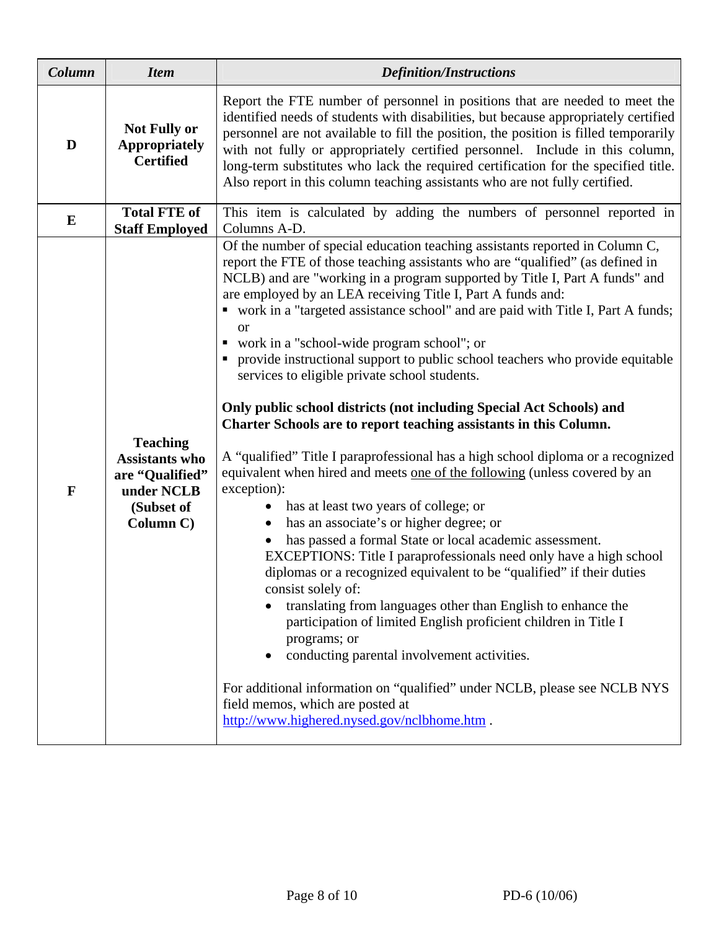| Column       | <b>Item</b>                                                                                          | <b>Definition/Instructions</b>                                                                                                                                                                                                                                                                                                                                                                                                                                                                                                                                                                                                                                                                                                                                                                                                                                                                                                                                                                                                                                                                                                                                                                                                                                                                                                                                                                                                                                                                                                                                                                               |  |  |  |  |  |
|--------------|------------------------------------------------------------------------------------------------------|--------------------------------------------------------------------------------------------------------------------------------------------------------------------------------------------------------------------------------------------------------------------------------------------------------------------------------------------------------------------------------------------------------------------------------------------------------------------------------------------------------------------------------------------------------------------------------------------------------------------------------------------------------------------------------------------------------------------------------------------------------------------------------------------------------------------------------------------------------------------------------------------------------------------------------------------------------------------------------------------------------------------------------------------------------------------------------------------------------------------------------------------------------------------------------------------------------------------------------------------------------------------------------------------------------------------------------------------------------------------------------------------------------------------------------------------------------------------------------------------------------------------------------------------------------------------------------------------------------------|--|--|--|--|--|
| D            | <b>Not Fully or</b><br><b>Appropriately</b><br><b>Certified</b>                                      | Report the FTE number of personnel in positions that are needed to meet the<br>identified needs of students with disabilities, but because appropriately certified<br>personnel are not available to fill the position, the position is filled temporarily<br>with not fully or appropriately certified personnel. Include in this column,<br>long-term substitutes who lack the required certification for the specified title.<br>Also report in this column teaching assistants who are not fully certified.                                                                                                                                                                                                                                                                                                                                                                                                                                                                                                                                                                                                                                                                                                                                                                                                                                                                                                                                                                                                                                                                                              |  |  |  |  |  |
| $\bf{E}$     | <b>Total FTE of</b><br><b>Staff Employed</b>                                                         | This item is calculated by adding the numbers of personnel reported in<br>Columns A-D.                                                                                                                                                                                                                                                                                                                                                                                                                                                                                                                                                                                                                                                                                                                                                                                                                                                                                                                                                                                                                                                                                                                                                                                                                                                                                                                                                                                                                                                                                                                       |  |  |  |  |  |
| $\mathbf{F}$ | <b>Teaching</b><br><b>Assistants who</b><br>are "Qualified"<br>under NCLB<br>(Subset of<br>Column C) | Of the number of special education teaching assistants reported in Column C,<br>report the FTE of those teaching assistants who are "qualified" (as defined in<br>NCLB) and are "working in a program supported by Title I, Part A funds" and<br>are employed by an LEA receiving Title I, Part A funds and:<br>• work in a "targeted assistance school" and are paid with Title I, Part A funds;<br>or<br>work in a "school-wide program school"; or<br>provide instructional support to public school teachers who provide equitable<br>services to eligible private school students.<br>Only public school districts (not including Special Act Schools) and<br>Charter Schools are to report teaching assistants in this Column.<br>A "qualified" Title I paraprofessional has a high school diploma or a recognized<br>equivalent when hired and meets one of the following (unless covered by an<br>exception):<br>has at least two years of college; or<br>has an associate's or higher degree; or<br>has passed a formal State or local academic assessment.<br>EXCEPTIONS: Title I paraprofessionals need only have a high school<br>diplomas or a recognized equivalent to be "qualified" if their duties<br>consist solely of:<br>translating from languages other than English to enhance the<br>participation of limited English proficient children in Title I<br>programs; or<br>conducting parental involvement activities.<br>For additional information on "qualified" under NCLB, please see NCLB NYS<br>field memos, which are posted at<br>http://www.highered.nysed.gov/nclbhome.htm . |  |  |  |  |  |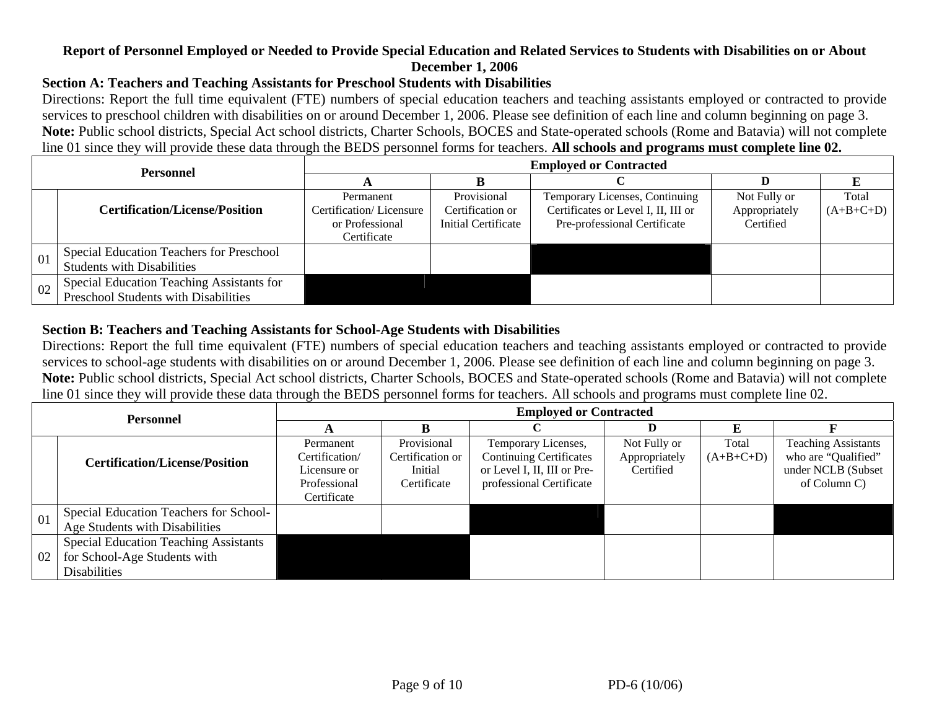## **Report of Personnel Employed or Needed to Provide Special Education and Related Services to Students with Disabilities on or About December 1, 2006**

## **Section A: Teachers and Teaching Assistants for Preschool Students with Disabilities**

Directions: Report the full time equivalent (FTE) numbers of special education teachers and teaching assistants employed or contracted to provide services to preschool children with disabilities on or around December 1, 2006. Please see definition of each line and column beginning on page 3. **Note:** Public school districts, Special Act school districts, Charter Schools, BOCES and State-operated schools (Rome and Batavia) will not complete line 01 since they will provide these data through the BEDS personnel forms for teachers. **All schools and programs must complete line 02.**

| <b>Personnel</b> |                                                                                   | <b>Employed or Contracted</b>                                          |                                                        |                                                                                                       |                                            |                      |  |  |  |
|------------------|-----------------------------------------------------------------------------------|------------------------------------------------------------------------|--------------------------------------------------------|-------------------------------------------------------------------------------------------------------|--------------------------------------------|----------------------|--|--|--|
|                  |                                                                                   |                                                                        |                                                        |                                                                                                       |                                            |                      |  |  |  |
|                  | <b>Certification/License/Position</b>                                             | Permanent<br>Certification/Licensure<br>or Professional<br>Certificate | Provisional<br>Certification or<br>Initial Certificate | Temporary Licenses, Continuing<br>Certificates or Level I, II, III or<br>Pre-professional Certificate | Not Fully or<br>Appropriately<br>Certified | Total<br>$(A+B+C+D)$ |  |  |  |
| 01               | Special Education Teachers for Preschool<br><b>Students with Disabilities</b>     |                                                                        |                                                        |                                                                                                       |                                            |                      |  |  |  |
| 02               | Special Education Teaching Assistants for<br>Preschool Students with Disabilities |                                                                        |                                                        |                                                                                                       |                                            |                      |  |  |  |

#### **Section B: Teachers and Teaching Assistants for School-Age Students with Disabilities**

Directions: Report the full time equivalent (FTE) numbers of special education teachers and teaching assistants employed or contracted to provide services to school-age students with disabilities on or around December 1, 2006. Please see definition of each line and column beginning on page 3. **Note:** Public school districts, Special Act school districts, Charter Schools, BOCES and State-operated schools (Rome and Batavia) will not complete line 01 since they will provide these data through the BEDS personnel forms for teachers. All schools and programs must complete line 02.

| <b>Personnel</b> |                                                                                                     | <b>Employed or Contracted</b>                                              |                                                           |                                                                                                                  |                                            |                      |                                                                                         |  |  |
|------------------|-----------------------------------------------------------------------------------------------------|----------------------------------------------------------------------------|-----------------------------------------------------------|------------------------------------------------------------------------------------------------------------------|--------------------------------------------|----------------------|-----------------------------------------------------------------------------------------|--|--|
|                  |                                                                                                     |                                                                            |                                                           |                                                                                                                  |                                            |                      |                                                                                         |  |  |
|                  | <b>Certification/License/Position</b>                                                               | Permanent<br>Certification/<br>Licensure or<br>Professional<br>Certificate | Provisional<br>Certification or<br>Initial<br>Certificate | Temporary Licenses,<br><b>Continuing Certificates</b><br>or Level I, II, III or Pre-<br>professional Certificate | Not Fully or<br>Appropriately<br>Certified | Total<br>$(A+B+C+D)$ | <b>Teaching Assistants</b><br>who are "Qualified"<br>under NCLB (Subset<br>of Column C) |  |  |
| 01               | Special Education Teachers for School-<br>Age Students with Disabilities                            |                                                                            |                                                           |                                                                                                                  |                                            |                      |                                                                                         |  |  |
| 02               | <b>Special Education Teaching Assistants</b><br>for School-Age Students with<br><b>Disabilities</b> |                                                                            |                                                           |                                                                                                                  |                                            |                      |                                                                                         |  |  |